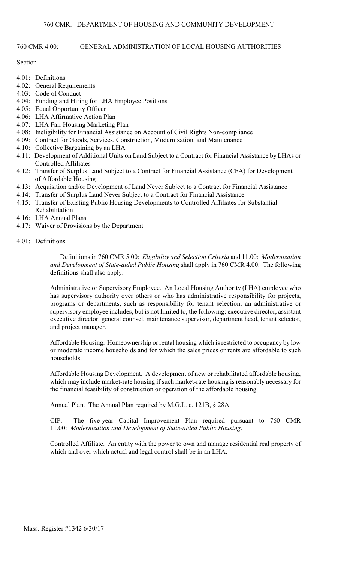# 760 CMR 4.00: GENERAL ADMINISTRATION OF LOCAL HOUSING AUTHORITIES

# Section

- 4.01: Definitions
- 4.02: General Requirements
- 4.03: Code of Conduct
- 4.04: Funding and Hiring for LHA Employee Positions
- 4.05: Equal Opportunity Officer
- 4.06: LHA Affirmative Action Plan
- 4.07: LHA Fair Housing Marketing Plan
- 4.08: Ineligibility for Financial Assistance on Account of Civil Rights Non-compliance
- 4.09: Contract for Goods, Services, Construction, Modernization, and Maintenance
- 4.10: Collective Bargaining by an LHA
- 4.11: Development of Additional Units on Land Subject to a Contract for Financial Assistance by LHAs or Controlled Affiliates
- 4.12: Transfer of Surplus Land Subject to a Contract for Financial Assistance (CFA) for Development of Affordable Housing
- 4.13: Acquisition and/or Development of Land Never Subject to a Contract for Financial Assistance
- 4.14: Transfer of Surplus Land Never Subject to a Contract for Financial Assistance
- 4.15: Transfer of Existing Public Housing Developments to Controlled Affiliates for Substantial Rehabilitation
- 4.16: LHA Annual Plans
- 4.17: Waiver of Provisions by the Department
- 4.01: Definitions

Definitions in 760 CMR 5.00: *Eligibility and Selection Criteria* and 11.00: *Modernization and Development of State-aided Public Housing* shall apply in 760 CMR 4.00. The following definitions shall also apply:

Administrative or Supervisory Employee. An Local Housing Authority (LHA) employee who has supervisory authority over others or who has administrative responsibility for projects, programs or departments, such as responsibility for tenant selection; an administrative or supervisory employee includes, but is not limited to, the following: executive director, assistant executive director, general counsel, maintenance supervisor, department head, tenant selector, and project manager.

Affordable Housing. Homeownership or rental housing which is restricted to occupancy by low or moderate income households and for which the sales prices or rents are affordable to such households.

Affordable Housing Development. A development of new or rehabilitated affordable housing, which may include market-rate housing if such market-rate housing is reasonably necessary for the financial feasibility of construction or operation of the affordable housing.

Annual Plan. The Annual Plan required by M.G.L. c. 121B, § 28A.

CIP. The five-year Capital Improvement Plan required pursuant to 760 CMR 11.00: *Modernization and Development of State-aided Public Housing*.

 Controlled Affiliate. An entity with the power to own and manage residential real property of which and over which actual and legal control shall be in an LHA.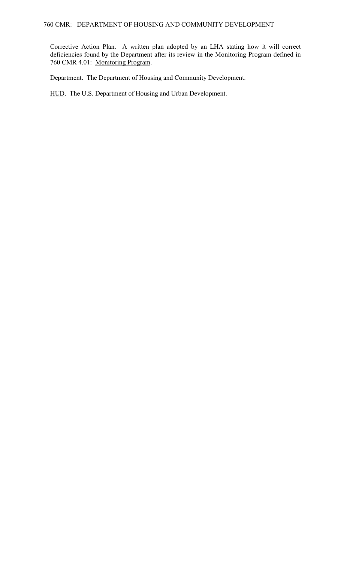Corrective Action Plan. A written plan adopted by an LHA stating how it will correct deficiencies found by the Department after its review in the Monitoring Program defined in 760 CMR 4.01: Monitoring Program.

Department. The Department of Housing and Community Development.

HUD. The U.S. Department of Housing and Urban Development.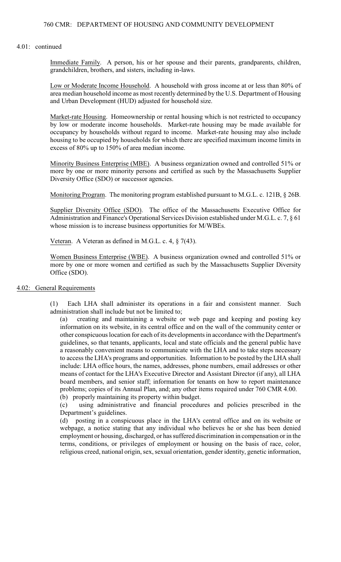#### 4.01: continued

Immediate Family. A person, his or her spouse and their parents, grandparents, children, grandchildren, brothers, and sisters, including in-laws.

Low or Moderate Income Household. A household with gross income at or less than 80% of area median household income as most recently determined by the U.S. Department of Housing and Urban Development (HUD) adjusted for household size.

 by low or moderate income households. Market-rate housing may be made available for Market-rate Housing. Homeownership or rental housing which is not restricted to occupancy occupancy by households without regard to income. Market-rate housing may also include housing to be occupied by households for which there are specified maximum income limits in excess of 80% up to 150% of area median income.

Minority Business Enterprise (MBE). A business organization owned and controlled 51% or more by one or more minority persons and certified as such by the Massachusetts Supplier Diversity Office (SDO) or successor agencies.

Monitoring Program. The monitoring program established pursuant to M.G.L. c. 121B, § 26B.

Supplier Diversity Office (SDO). The office of the Massachusetts Executive Office for Administration and Finance's Operational Services Division established under M.G.L. c. 7, § 61 whose mission is to increase business opportunities for M/WBEs.

Veteran. A Veteran as defined in M.G.L. c. 4, § 7(43).

Women Business Enterprise (WBE). A business organization owned and controlled 51% or more by one or more women and certified as such by the Massachusetts Supplier Diversity Office (SDO).

### 4.02: General Requirements

(1) Each LHA shall administer its operations in a fair and consistent manner. Such administration shall include but not be limited to;

 other conspicuous location for each of its developments in accordance with the Department's a reasonably convenient means to communicate with the LHA and to take steps necessary to access the LHA's programs and opportunities. Information to be posted by the LHA shall (a) creating and maintaining a website or web page and keeping and posting key information on its website, in its central office and on the wall of the community center or guidelines, so that tenants, applicants, local and state officials and the general public have include: LHA office hours, the names, addresses, phone numbers, email addresses or other means of contact for the LHA's Executive Director and Assistant Director (if any), all LHA board members, and senior staff; information for tenants on how to report maintenance problems; copies of its Annual Plan, and; any other items required under 760 CMR 4.00. (b) properly maintaining its property within budget.

(c) using administrative and financial procedures and policies prescribed in the Department's guidelines.

(d) posting in a conspicuous place in the LHA's central office and on its website or webpage, a notice stating that any individual who believes he or she has been denied employment or housing, discharged, or has suffered discrimination in compensation or in the terms, conditions, or privileges of employment or housing on the basis of race, color, religious creed, national origin, sex, sexual orientation, gender identity, genetic information,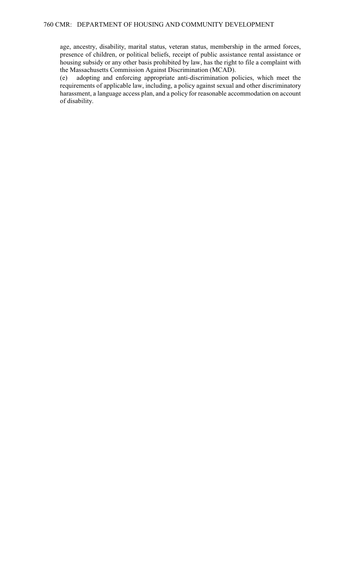age, ancestry, disability, marital status, veteran status, membership in the armed forces, presence of children, or political beliefs, receipt of public assistance rental assistance or housing subsidy or any other basis prohibited by law, has the right to file a complaint with the Massachusetts Commission Against Discrimination (MCAD).

(e) adopting and enforcing appropriate anti-discrimination policies, which meet the requirements of applicable law, including, a policy against sexual and other discriminatory harassment, a language access plan, and a policy for reasonable accommodation on account of disability.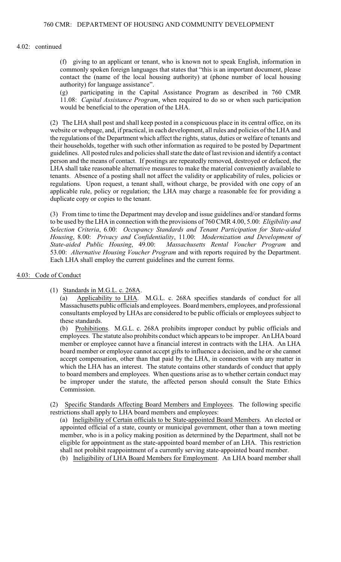### 4.02: continued

(f) giving to an applicant or tenant, who is known not to speak English, information in commonly spoken foreign languages that states that "this is an important document, please contact the (name of the local housing authority) at (phone number of local housing authority) for language assistance".

(g) participating in the Capital Assistance Program as described in 760 CMR 11.08: *Capital Assistance Program*, when required to do so or when such participation would be beneficial to the operation of the LHA.

 (2) The LHA shall post and shall keep posted in a conspicuous place in its central office, on its LHA shall take reasonable alternative measures to make the material conveniently available to applicable rule, policy or regulation; the LHA may charge a reasonable fee for providing a website or webpage, and, if practical, in each development, all rules and policies of the LHA and the regulations of the Department which affect the rights, status, duties or welfare of tenants and their households, together with such other information as required to be posted by Department guidelines. All posted rules and policies shall state the date of last revision and identify a contact person and the means of contact. If postings are repeatedly removed, destroyed or defaced, the tenants. Absence of a posting shall not affect the validity or applicability of rules, policies or regulations. Upon request, a tenant shall, without charge, be provided with one copy of an duplicate copy or copies to the tenant.

 (3) From time to time the Department may develop and issue guidelines and/or standard forms to be used by the LHA in connection with the provisions of 760 CMR 4.00, 5.00: *Eligibility and Selection Criteria*, 6.00: *Occupancy Standards and Tenant Participation for State-aided Housing*, 8.00: *Privacy and Confidentiality*, 11.00: *Modernization and Development of State-aided Public Housing*, 49.00: *Massachusetts Rental Voucher Program* and 53.00: *Alternative Housing Voucher Program* and with reports required by the Department. Each LHA shall employ the current guidelines and the current forms.

## 4.03: Code of Conduct

(1) Standards in M.G.L. c. 268A.

 consultants employed by LHAs are considered to be public officials or employees subject to (a) Applicability to LHA. M.G.L. c. 268A specifies standards of conduct for all Massachusetts public officials and employees. Board members, employees, and professional these standards.

 be improper under the statute, the affected person should consult the State Ethics (b) Prohibitions. M.G.L. c. 268A prohibits improper conduct by public officials and employees. The statute also prohibits conduct which appears to be improper. An LHA board member or employee cannot have a financial interest in contracts with the LHA. An LHA board member or employee cannot accept gifts to influence a decision, and he or she cannot accept compensation, other than that paid by the LHA, in connection with any matter in which the LHA has an interest. The statute contains other standards of conduct that apply to board members and employees. When questions arise as to whether certain conduct may Commission.

(2) Specific Standards Affecting Board Members and Employees. The following specific restrictions shall apply to LHA board members and employees:

(a) Ineligibility of Certain officials to be State-appointed Board Members. An elected or appointed official of a state, county or municipal government, other than a town meeting member, who is in a policy making position as determined by the Department, shall not be eligible for appointment as the state-appointed board member of an LHA. This restriction shall not prohibit reappointment of a currently serving state-appointed board member.

(b) Ineligibility of LHA Board Members for Employment. An LHA board member shall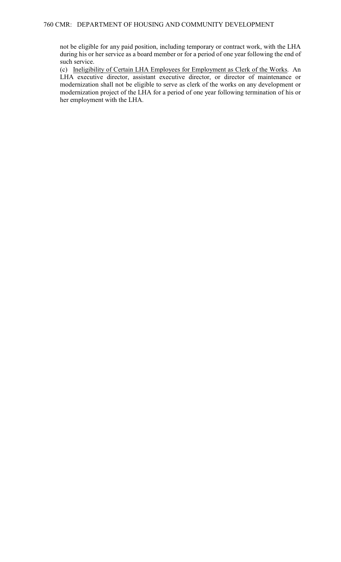not be eligible for any paid position, including temporary or contract work, with the LHA during his or her service as a board member or for a period of one year following the end of such service.

(c) Ineligibility of Certain LHA Employees for Employment as Clerk of the Works. An LHA executive director, assistant executive director, or director of maintenance or modernization shall not be eligible to serve as clerk of the works on any development or modernization project of the LHA for a period of one year following termination of his or her employment with the LHA.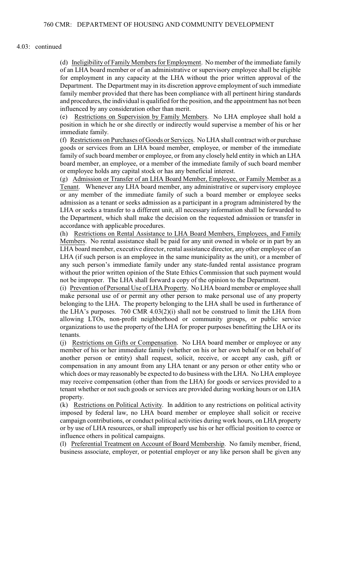#### 4.03: continued

(d) Ineligibility of Family Members for Employment. No member of the immediate family for employment in any capacity at the LHA without the prior written approval of the of an LHA board member or of an administrative or supervisory employee shall be eligible Department. The Department may in its discretion approve employment of such immediate family member provided that there has been compliance with all pertinent hiring standards and procedures, the individual is qualified for the position, and the appointment has not been influenced by any consideration other than merit.

 (e) Restrictions on Supervision by Family Members. No LHA employee shall hold a position in which he or she directly or indirectly would supervise a member of his or her immediate family.

 (f) Restrictions on Purchases of Goods or Services. No LHA shall contract with or purchase goods or services from an LHA board member, employee, or member of the immediate family of such board member or employee, or from any closely held entity in which an LHA board member, an employee, or a member of the immediate family of such board member or employee holds any capital stock or has any beneficial interest.

 (g) Admission or Transfer of an LHA Board Member, Employee, or Family Member as a Tenant. Whenever any LHA board member, any administrative or supervisory employee LHA or seeks a transfer to a different unit, all necessary information shall be forwarded to or any member of the immediate family of such a board member or employee seeks admission as a tenant or seeks admission as a participant in a program administered by the the Department, which shall make the decision on the requested admission or transfer in accordance with applicable procedures.

 without the prior written opinion of the State Ethics Commission that such payment would (h) Restrictions on Rental Assistance to LHA Board Members, Employees, and Family Members. No rental assistance shall be paid for any unit owned in whole or in part by an LHA board member, executive director, rental assistance director, any other employee of an LHA (if such person is an employee in the same municipality as the unit), or a member of any such person's immediate family under any state-funded rental assistance program not be improper. The LHA shall forward a copy of the opinion to the Department.

 organizations to use the property of the LHA for proper purposes benefitting the LHA or its (i) Prevention of Personal Use of LHA Property. No LHA board member or employee shall make personal use of or permit any other person to make personal use of any property belonging to the LHA. The property belonging to the LHA shall be used in furtherance of the LHA's purposes. 760 CMR 4.03(2)(i) shall not be construed to limit the LHA from allowing LTOs, non-profit neighborhood or community groups, or public service tenants.

(j) Restrictions on Gifts or Compensation. No LHA board member or employee or any member of his or her immediate family (whether on his or her own behalf or on behalf of another person or entity) shall request, solicit, receive, or accept any cash, gift or compensation in any amount from any LHA tenant or any person or other entity who or which does or may reasonably be expected to do business with the LHA. No LHA employee may receive compensation (other than from the LHA) for goods or services provided to a tenant whether or not such goods or services are provided during working hours or on LHA property.

 campaign contributions, or conduct political activities during work hours, on LHA property or by use of LHA resources, or shall improperly use his or her official position to coerce or (k) Restrictions on Political Activity. In addition to any restrictions on political activity imposed by federal law, no LHA board member or employee shall solicit or receive influence others in political campaigns.

(l) Preferential Treatment on Account of Board Membership. No family member, friend, business associate, employer, or potential employer or any like person shall be given any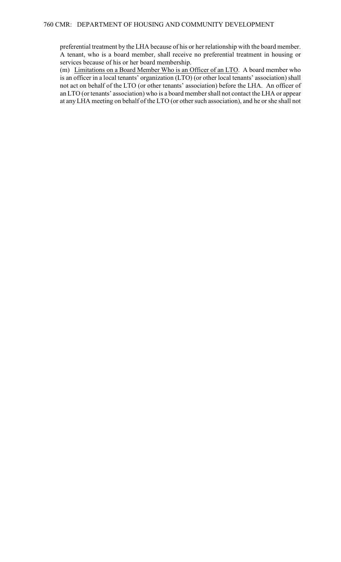preferential treatment by the LHA because of his or her relationship with the board member. A tenant, who is a board member, shall receive no preferential treatment in housing or services because of his or her board membership.

(m) Limitations on a Board Member Who is an Officer of an LTO. A board member who is an officer in a local tenants' organization (LTO) (or other local tenants' association) shall not act on behalf of the LTO (or other tenants' association) before the LHA. An officer of an LTO (or tenants' association) who is a board member shall not contact the LHA or appear at any LHA meeting on behalf of the LTO (or other such association), and he or she shall not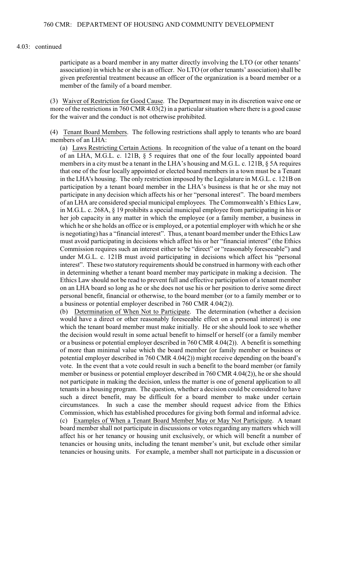#### 4.03: continued

participate as a board member in any matter directly involving the LTO (or other tenants' association) in which he or she is an officer. No LTO (or other tenants' association) shall be given preferential treatment because an officer of the organization is a board member or a member of the family of a board member.

 more of the restrictions in 760 CMR 4.03(2) in a particular situation where there is a good cause (3) Waiver of Restriction for Good Cause. The Department may in its discretion waive one or for the waiver and the conduct is not otherwise prohibited.

(4) Tenant Board Members. The following restrictions shall apply to tenants who are board members of an LHA:

 (a) Laws Restricting Certain Actions. In recognition of the value of a tenant on the board under M.G.L. c. 121B must avoid participating in decisions which affect his "personal in determining whether a tenant board member may participate in making a decision. The personal benefit, financial or otherwise, to the board member (or to a family member or to of an LHA, M.G.L. c. 121B, § 5 requires that one of the four locally appointed board members in a city must be a tenant in the LHA's housing and M.G.L. c. 121B, § 5A requires that one of the four locally appointed or elected board members in a town must be a Tenant in the LHA's housing. The only restriction imposed by the Legislature in M.G.L. c. 121B on participation by a tenant board member in the LHA's business is that he or she may not participate in any decision which affects his or her "personal interest". The board members of an LHA are considered special municipal employees. The Commonwealth's Ethics Law, in M.G.L. c. 268A, § 19 prohibits a special municipal employee from participating in his or her job capacity in any matter in which the employee (or a family member, a business in which he or she holds an office or is employed, or a potential employer with which he or she is negotiating) has a "financial interest". Thus, a tenant board member under the Ethics Law must avoid participating in decisions which affect his or her "financial interest" (the Ethics Commission requires such an interest either to be "direct" or "reasonably foreseeable") and interest". These two statutory requirements should be construed in harmony with each other Ethics Law should not be read to prevent full and effective participation of a tenant member on an LHA board so long as he or she does not use his or her position to derive some direct a business or potential employer described in 760 CMR 4.04(2)).

 not participate in making the decision, unless the matter is one of general application to all such a direct benefit, may be difficult for a board member to make under certain (c) Examples of When a Tenant Board Member May or May Not Participate. A tenant board member shall not participate in discussions or votes regarding any matters which will tenancies or housing units. For example, a member shall not participate in a discussion or (b) Determination of When Not to Participate. The determination (whether a decision would have a direct or other reasonably foreseeable effect on a personal interest) is one which the tenant board member must make initially. He or she should look to see whether the decision would result in some actual benefit to himself or herself (or a family member or a business or potential employer described in 760 CMR 4.04(2)). A benefit is something of more than minimal value which the board member (or family member or business or potential employer described in 760 CMR 4.04(2)) might receive depending on the board's vote. In the event that a vote could result in such a benefit to the board member (or family member or business or potential employer described in 760 CMR 4.04(2)), he or she should tenants in a housing program. The question, whether a decision could be considered to have circumstances. In such a case the member should request advice from the Ethics Commission, which has established procedures for giving both formal and informal advice. affect his or her tenancy or housing unit exclusively, or which will benefit a number of tenancies or housing units, including the tenant member's unit, but exclude other similar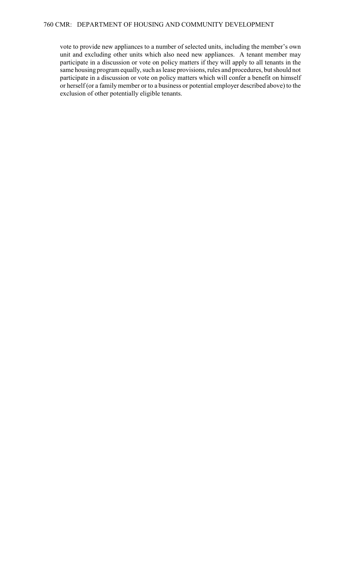participate in a discussion or vote on policy matters which will confer a benefit on himself vote to provide new appliances to a number of selected units, including the member's own unit and excluding other units which also need new appliances. A tenant member may participate in a discussion or vote on policy matters if they will apply to all tenants in the same housing program equally, such as lease provisions, rules and procedures, but should not or herself (or a family member or to a business or potential employer described above) to the exclusion of other potentially eligible tenants.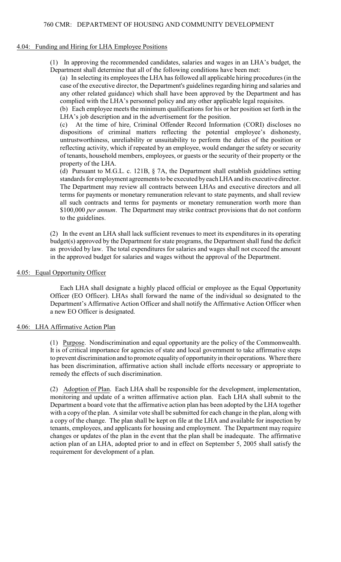# 760 CMR: DEPARTMENT OF HOUSING AND COMMUNITY DEVELOPMENT

## 4.04: Funding and Hiring for LHA Employee Positions

(1) In approving the recommended candidates, salaries and wages in an LHA's budget, the Department shall determine that all of the following conditions have been met:

(a) In selecting its employees the LHA has followed all applicable hiring procedures (in the case of the executive director, the Department's guidelines regarding hiring and salaries and any other related guidance) which shall have been approved by the Department and has complied with the LHA's personnel policy and any other applicable legal requisites.

 (b) Each employee meets the minimum qualifications for his or her position set forth in the LHA's job description and in the advertisement for the position.

 untrustworthiness, unreliability or unsuitability to perform the duties of the position or reflecting activity, which if repeated by an employee, would endanger the safety or security (c) At the time of hire, Criminal Offender Record Information (CORI) discloses no dispositions of criminal matters reflecting the potential employee's dishonesty, of tenants, household members, employees, or guests or the security of their property or the property of the LHA.

(d) Pursuant to M.G.L. c. 121B, § 7A, the Department shall establish guidelines setting standards for employment agreements to be executed by each LHA and its executive director. The Department may review all contracts between LHAs and executive directors and all terms for payments or monetary remuneration relevant to state payments, and shall review all such contracts and terms for payments or monetary remuneration worth more than \$100,000 *per annum*. The Department may strike contract provisions that do not conform to the guidelines.

(2) In the event an LHA shall lack sufficient revenues to meet its expenditures in its operating budget(s) approved by the Department for state programs, the Department shall fund the deficit as provided by law. The total expenditures for salaries and wages shall not exceed the amount in the approved budget for salaries and wages without the approval of the Department.

# 4.05: Equal Opportunity Officer

 Each LHA shall designate a highly placed official or employee as the Equal Opportunity Officer (EO Officer). LHAs shall forward the name of the individual so designated to the Department's Affirmative Action Officer and shall notify the Affirmative Action Officer when a new EO Officer is designated.

# 4.06: LHA Affirmative Action Plan

(1) Purpose. Nondiscrimination and equal opportunity are the policy of the Commonwealth. It is of critical importance for agencies of state and local government to take affirmative steps to prevent discrimination and to promote equality of opportunity in their operations. Where there has been discrimination, affirmative action shall include efforts necessary or appropriate to remedy the effects of such discrimination.

(2) Adoption of Plan. Each LHA shall be responsible for the development, implementation, monitoring and update of a written affirmative action plan. Each LHA shall submit to the Department a board vote that the affirmative action plan has been adopted by the LHA together with a copy of the plan. A similar vote shall be submitted for each change in the plan, along with a copy of the change. The plan shall be kept on file at the LHA and available for inspection by tenants, employees, and applicants for housing and employment. The Department may require changes or updates of the plan in the event that the plan shall be inadequate. The affirmative action plan of an LHA, adopted prior to and in effect on September 5, 2005 shall satisfy the requirement for development of a plan.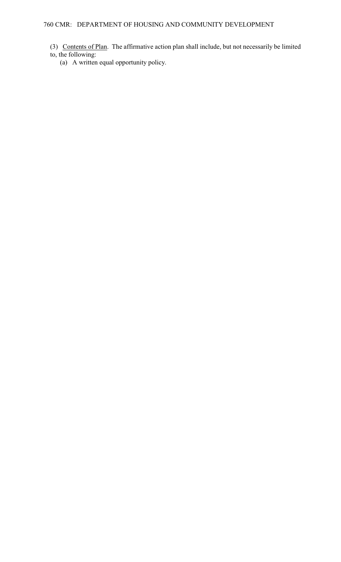- (3) Contents of Plan. The affirmative action plan shall include, but not necessarily be limited to, the following:
	- (a) A written equal opportunity policy.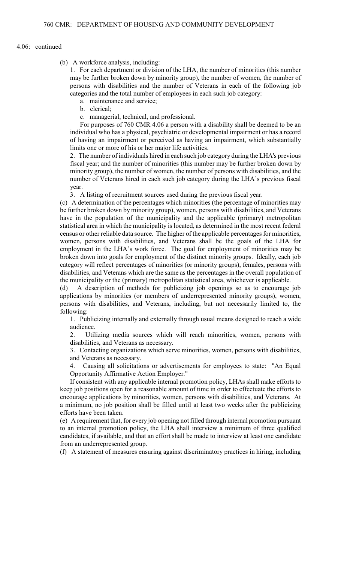#### 4.06: continued

(b) A workforce analysis, including:

1. For each department or division of the LHA, the number of minorities (this number may be further broken down by minority group), the number of women, the number of persons with disabilities and the number of Veterans in each of the following job categories and the total number of employees in each such job category:

a. maintenance and service;

b. clerical;

c. managerial, technical, and professional.

For purposes of 760 CMR 4.06 a person with a disability shall be deemed to be an individual who has a physical, psychiatric or developmental impairment or has a record of having an impairment or perceived as having an impairment, which substantially limits one or more of his or her major life activities.

2. The number of individuals hired in each such job category during the LHA's previous fiscal year; and the number of minorities (this number may be further broken down by minority group), the number of women, the number of persons with disabilities, and the number of Veterans hired in each such job category during the LHA's previous fiscal year.

3. A listing of recruitment sources used during the previous fiscal year.

 be further broken down by minority group), women, persons with disabilities, and Veterans census or other reliable data source. The higher of the applicable percentages for minorities, (c) A determination of the percentages which minorities (the percentage of minorities may have in the population of the municipality and the applicable (primary) metropolitan statistical area in which the municipality is located, as determined in the most recent federal women, persons with disabilities, and Veterans shall be the goals of the LHA for employment in the LHA's work force. The goal for employment of minorities may be broken down into goals for employment of the distinct minority groups. Ideally, each job category will reflect percentages of minorities (or minority groups), females, persons with disabilities, and Veterans which are the same as the percentages in the overall population of the municipality or the (primary) metropolitan statistical area, whichever is applicable.

(d) A description of methods for publicizing job openings so as to encourage job applications by minorities (or members of underrepresented minority groups), women, persons with disabilities, and Veterans, including, but not necessarily limited to, the following:

1. Publicizing internally and externally through usual means designed to reach a wide audience.

2. Utilizing media sources which will reach minorities, women, persons with disabilities, and Veterans as necessary.

3. Contacting organizations which serve minorities, women, persons with disabilities, and Veterans as necessary.

4. Causing all solicitations or advertisements for employees to state: "An Equal Opportunity Affirmative Action Employer."

 If consistent with any applicable internal promotion policy, LHAs shall make efforts to a minimum, no job position shall be filled until at least two weeks after the publicizing keep job positions open for a reasonable amount of time in order to effectuate the efforts to encourage applications by minorities, women, persons with disabilities, and Veterans. At efforts have been taken.

 (e) A requirement that, for every job opening not filled through internal promotion pursuant candidates, if available, and that an effort shall be made to interview at least one candidate to an internal promotion policy, the LHA shall interview a minimum of three qualified from an underrepresented group.

(f) A statement of measures ensuring against discriminatory practices in hiring, including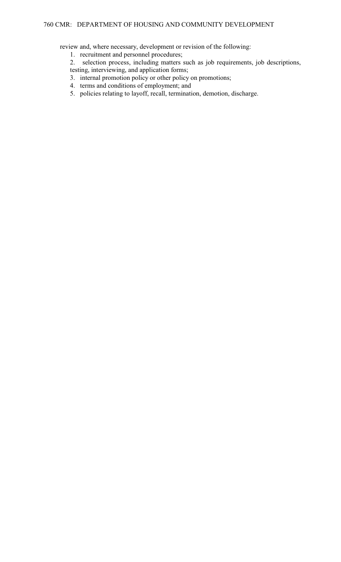review and, where necessary, development or revision of the following:

- 1. recruitment and personnel procedures;
- 2. selection process, including matters such as job requirements, job descriptions,
- testing, interviewing, and application forms;
- 3. internal promotion policy or other policy on promotions;
- 4. terms and conditions of employment; and
- 5. policies relating to layoff, recall, termination, demotion, discharge.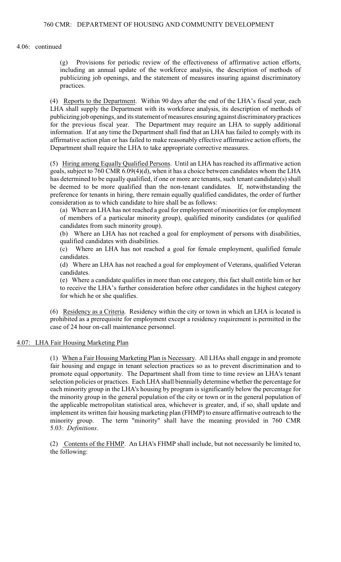4.06: continued

(g) Provisions for periodic review of the effectiveness of affirmative action efforts, including an annual update of the workforce analysis, the description of methods of publicizing job openings, and the statement of measures insuring against discriminatory practices.

(4) Reports to the Department. Within 90 days after the end of the LHA's fiscal year, each information. If at any time the Department shall find that an LHA has failed to comply with its LHA shall supply the Department with its workforce analysis, its description of methods of publicizing job openings, and its statement of measures ensuring against discriminatory practices for the previous fiscal year. The Department may require an LHA to supply additional affirmative action plan or has failed to make reasonably effective affirmative action efforts, the Department shall require the LHA to take appropriate corrective measures.

 (5) Hiring among Equally Qualified Persons. Until an LHA has reached its affirmative action goals, subject to 760 CMR 6.09(4)(d), when it has a choice between candidates whom the LHA has determined to be equally qualified, if one or more are tenants, such tenant candidate(s) shall be deemed to be more qualified than the non-tenant candidates. If, notwithstanding the preference for tenants in hiring, there remain equally qualified candidates, the order of further consideration as to which candidate to hire shall be as follows:

 (a) Where an LHA has not reached a goal for employment of minorities (or for employment of members of a particular minority group), qualified minority candidates (or qualified candidates from such minority group).

 (b) Where an LHA has not reached a goal for employment of persons with disabilities, qualified candidates with disabilities.

(c) Where an LHA has not reached a goal for female employment, qualified female candidates.

(d) Where an LHA has not reached a goal for employment of Veterans, qualified Veteran candidates.

(e) Where a candidate qualifies in more than one category, this fact shall entitle him or her to receive the LHA's further consideration before other candidates in the highest category for which he or she qualifies.

(6) Residency as a Criteria. Residency within the city or town in which an LHA is located is prohibited as a prerequisite for employment except a residency requirement is permitted in the case of 24 hour on-call maintenance personnel.

# 4.07: LHA Fair Housing Marketing Plan

 the minority group in the general population of the city or town or in the general population of (1) When a Fair Housing Marketing Plan is Necessary. All LHAs shall engage in and promote fair housing and engage in tenant selection practices so as to prevent discrimination and to promote equal opportunity. The Department shall from time to time review an LHA's tenant selection policies or practices. Each LHA shall biennially determine whether the percentage for each minority group in the LHA's housing by program is significantly below the percentage for the applicable metropolitan statistical area, whichever is greater, and, if so, shall update and implement its written fair housing marketing plan (FHMP) to ensure affirmative outreach to the minority group. The term "minority" shall have the meaning provided in 760 CMR 5.03: *Definitions*.

(2) Contents of the FHMP. An LHA's FHMP shall include, but not necessarily be limited to, the following: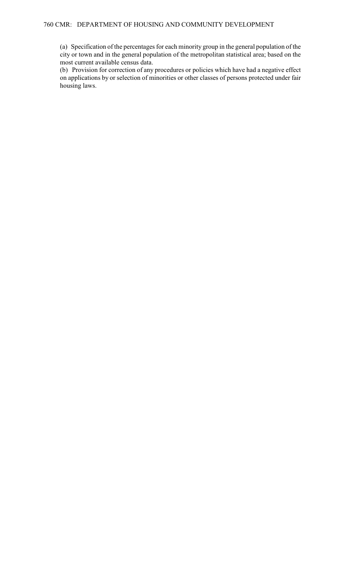(a) Specification of the percentages for each minority group in the general population of the city or town and in the general population of the metropolitan statistical area; based on the most current available census data.

 on applications by or selection of minorities or other classes of persons protected under fair (b) Provision for correction of any procedures or policies which have had a negative effect housing laws.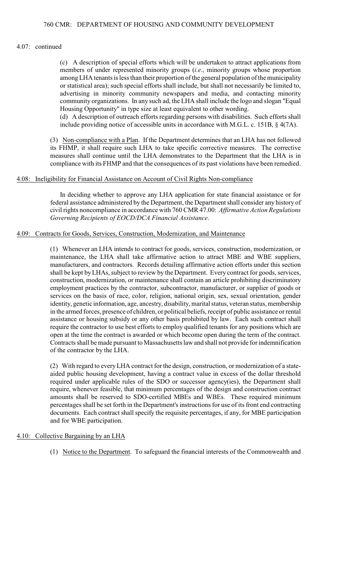### 4.07: continued

 among LHA tenants is less than their proportion of the general population of the municipality (c) A description of special efforts which will be undertaken to attract applications from members of under represented minority groups (*i.e*., minority groups whose proportion or statistical area); such special efforts shall include, but shall not necessarily be limited to, advertising in minority community newspapers and media, and contacting minority community organizations. In any such ad, the LHA shall include the logo and slogan "Equal Housing Opportunity" in type size at least equivalent to other wording.

 (d) A description of outreach efforts regarding persons with disabilities. Such efforts shall include providing notice of accessible units in accordance with M.G.L. c. 151B, § 4(7A).

(3) Non-compliance with a Plan. If the Department determines that an LHA has not followed its FHMP, it shall require such LHA to take specific corrective measures. The corrective measures shall continue until the LHA demonstrates to the Department that the LHA is in compliance with its FHMP and that the consequences of its past violations have been remedied.

### 4.08: Ineligibility for Financial Assistance on Account of Civil Rights Non-compliance

In deciding whether to approve any LHA application for state financial assistance or for federal assistance administered by the Department, the Department shall consider any history of civil rights noncompliance in accordance with 760 CMR 47.00: *Affirmative Action Regulations Governing Recipients of EOCD/DCA Financial Assistance*.

### 4.09: Contracts for Goods, Services, Construction, Modernization, and Maintenance

(1) Whenever an LHA intends to contract for goods, services, construction, modernization, or maintenance, the LHA shall take affirmative action to attract MBE and WBE suppliers, manufacturers, and contractors. Records detailing affirmative action efforts under this section shall be kept by LHAs, subject to review by the Department. Every contract for goods, services, construction, modernization, or maintenance shall contain an article prohibiting discriminatory employment practices by the contractor, subcontractor, manufacturer, or supplier of goods or services on the basis of race, color, religion, national origin, sex, sexual orientation, gender identity, genetic information, age, ancestry, disability, marital status, veteran status, membership in the armed forces, presence of children, or political beliefs, receipt of public assistance or rental assistance or housing subsidy or any other basis prohibited by law. Each such contract shall require the contractor to use best efforts to employ qualified tenants for any positions which are open at the time the contract is awarded or which become open during the term of the contract. Contracts shall be made pursuant to Massachusetts law and shall not provide for indemnification of the contractor by the LHA.

 required under applicable rules of the SDO or successor agency(ies), the Department shall amounts shall be reserved to SDO-certified MBEs and WBEs. These required minimum (2) With regard to every LHA contract for the design, construction, or modernization of a stateaided public housing development, having a contract value in excess of the dollar threshold require, whenever feasible, that minimum percentages of the design and construction contract percentages shall be set forth in the Department's instructions for use of its front end contracting documents. Each contract shall specify the requisite percentages, if any, for MBE participation and for WBE participation.

# 4.10: Collective Bargaining by an LHA

(1) Notice to the Department. To safeguard the financial interests of the Commonwealth and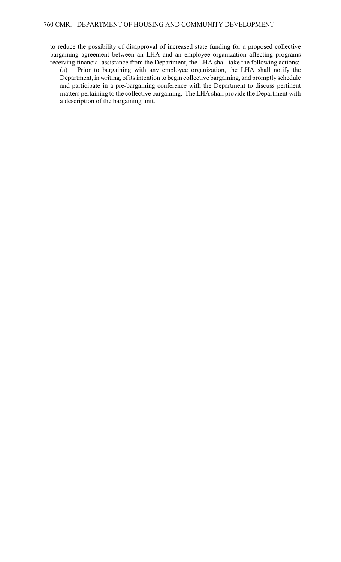to reduce the possibility of disapproval of increased state funding for a proposed collective bargaining agreement between an LHA and an employee organization affecting programs receiving financial assistance from the Department, the LHA shall take the following actions:

 matters pertaining to the collective bargaining. The LHA shall provide the Department with (a) Prior to bargaining with any employee organization, the LHA shall notify the Department, in writing, of its intention to begin collective bargaining, and promptly schedule and participate in a pre-bargaining conference with the Department to discuss pertinent a description of the bargaining unit.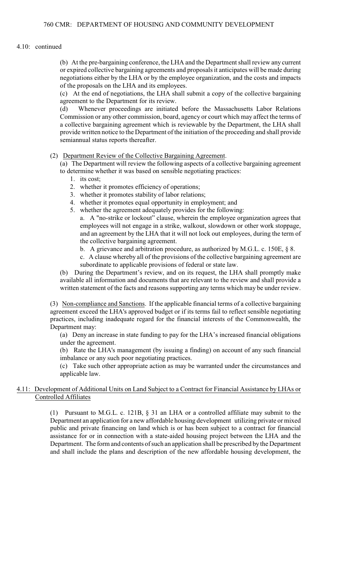### 4.10: continued

 negotiations either by the LHA or by the employee organization, and the costs and impacts (b) At the pre-bargaining conference, the LHA and the Department shall review any current or expired collective bargaining agreements and proposals it anticipates will be made during of the proposals on the LHA and its employees.

 (c) At the end of negotiations, the LHA shall submit a copy of the collective bargaining agreement to the Department for its review.

(d) Whenever proceedings are initiated before the Massachusetts Labor Relations Commission or any other commission, board, agency or court which may affect the terms of a collective bargaining agreement which is reviewable by the Department, the LHA shall provide written notice to the Department of the initiation of the proceeding and shall provide semiannual status reports thereafter.

### (2) Department Review of the Collective Bargaining Agreement.

 (a) The Department will review the following aspects of a collective bargaining agreement to determine whether it was based on sensible negotiating practices:

- 1. its cost;
- 2. whether it promotes efficiency of operations;
- 3. whether it promotes stability of labor relations;
- 4. whether it promotes equal opportunity in employment; and
- 5. whether the agreement adequately provides for the following:
	- a. A "no-strike or lockout" clause, wherein the employee organization agrees that employees will not engage in a strike, walkout, slowdown or other work stoppage, and an agreement by the LHA that it will not lock out employees, during the term of the collective bargaining agreement.
		- b. A grievance and arbitration procedure, as authorized by M.G.L. c. 150E, § 8.
		- c. A clause whereby all of the provisions of the collective bargaining agreement are subordinate to applicable provisions of federal or state law.

(b) During the Department's review, and on its request, the LHA shall promptly make available all information and documents that are relevant to the review and shall provide a written statement of the facts and reasons supporting any terms which may be under review.

(3) Non-compliance and Sanctions. If the applicable financial terms of a collective bargaining agreement exceed the LHA's approved budget or if its terms fail to reflect sensible negotiating practices, including inadequate regard for the financial interests of the Commonwealth, the Department may:

 (a) Deny an increase in state funding to pay for the LHA's increased financial obligations under the agreement.

(b) Rate the LHA's management (by issuing a finding) on account of any such financial imbalance or any such poor negotiating practices.

(c) Take such other appropriate action as may be warranted under the circumstances and applicable law.

### 4.11: Development of Additional Units on Land Subject to a Contract for Financial Assistance by LHAs or Controlled Affiliates

(1) Pursuant to M.G.L. c. 121B, § 31 an LHA or a controlled affiliate may submit to the Department an application for a new affordable housing development utilizing private or mixed public and private financing on land which is or has been subject to a contract for financial assistance for or in connection with a state-aided housing project between the LHA and the Department. The form and contents of such an application shall be prescribed by the Department and shall include the plans and description of the new affordable housing development, the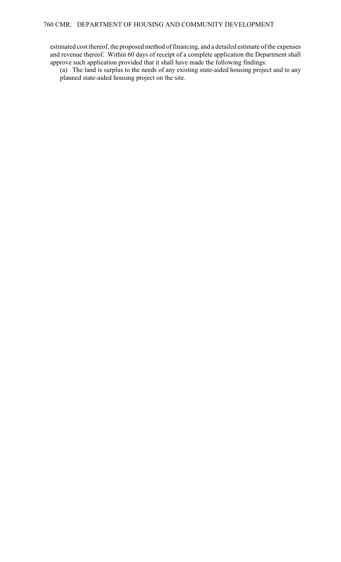and revenue thereof. Within 60 days of receipt of a complete application the Department shall estimated cost thereof, the proposed method of financing, and a detailed estimate of the expenses approve such application provided that it shall have made the following findings:

(a) The land is surplus to the needs of any existing state-aided housing project and to any planned state-aided housing project on the site.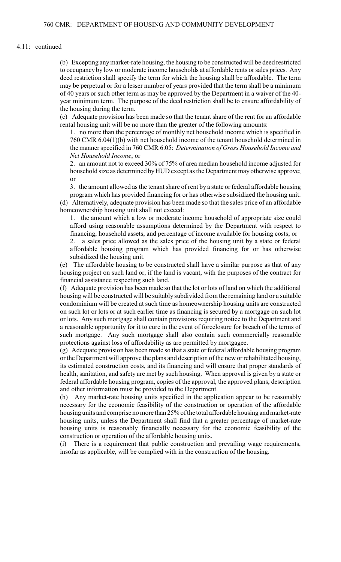#### 4.11: continued

 (b) Excepting any market-rate housing, the housing to be constructed will be deed restricted to occupancy by low or moderate income households at affordable rents or sales prices. Any deed restriction shall specify the term for which the housing shall be affordable. The term may be perpetual or for a lesser number of years provided that the term shall be a minimum of 40 years or such other term as may be approved by the Department in a waiver of the 40 year minimum term. The purpose of the deed restriction shall be to ensure affordability of the housing during the term.

 (c) Adequate provision has been made so that the tenant share of the rent for an affordable rental housing unit will be no more than the greater of the following amounts:

 1. no more than the percentage of monthly net household income which is specified in 760 CMR 6.04(1)(b) with net household income of the tenant household determined in the manner specified in 760 CMR 6.05: *Determination of Gross Household Income and Net Household Income*; or

2. an amount not to exceed 30% of 75% of area median household income adjusted for household size as determined by HUD except as the Department may otherwise approve; or

 3. the amount allowed as the tenant share of rent by a state or federal affordable housing program which has provided financing for or has otherwise subsidized the housing unit.

 (d) Alternatively, adequate provision has been made so that the sales price of an affordable homeownership housing unit shall not exceed:

1. the amount which a low or moderate income household of appropriate size could afford using reasonable assumptions determined by the Department with respect to financing, household assets, and percentage of income available for housing costs; or

2. a sales price allowed as the sales price of the housing unit by a state or federal affordable housing program which has provided financing for or has otherwise subsidized the housing unit.

 (e) The affordable housing to be constructed shall have a similar purpose as that of any housing project on such land or, if the land is vacant, with the purposes of the contract for financial assistance respecting such land.

 housing will be constructed will be suitably subdivided from the remaining land or a suitable (f) Adequate provision has been made so that the lot or lots of land on which the additional condominium will be created at such time as homeownership housing units are constructed on such lot or lots or at such earlier time as financing is secured by a mortgage on such lot or lots. Any such mortgage shall contain provisions requiring notice to the Department and a reasonable opportunity for it to cure in the event of foreclosure for breach of the terms of such mortgage. Any such mortgage shall also contain such commercially reasonable protections against loss of affordability as are permitted by mortgagee.

 health, sanitation, and safety are met by such housing. When approval is given by a state or (g) Adequate provision has been made so that a state or federal affordable housing program or the Department will approve the plans and description of the new or rehabilitated housing, its estimated construction costs, and its financing and will ensure that proper standards of federal affordable housing program, copies of the approval, the approved plans, description and other information must be provided to the Department.

(h) Any market-rate housing units specified in the application appear to be reasonably necessary for the economic feasibility of the construction or operation of the affordable housing units and comprise no more than 25% of the total affordable housing and market-rate housing units, unless the Department shall find that a greater percentage of market-rate housing units is reasonably financially necessary for the economic feasibility of the construction or operation of the affordable housing units.

(i) There is a requirement that public construction and prevailing wage requirements, insofar as applicable, will be complied with in the construction of the housing.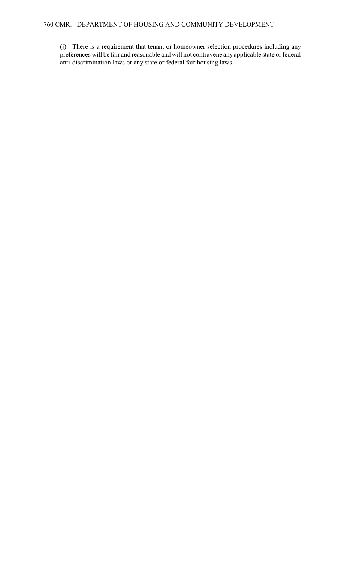(j) There is a requirement that tenant or homeowner selection procedures including any preferences will be fair and reasonable and will not contravene any applicable state or federal anti-discrimination laws or any state or federal fair housing laws.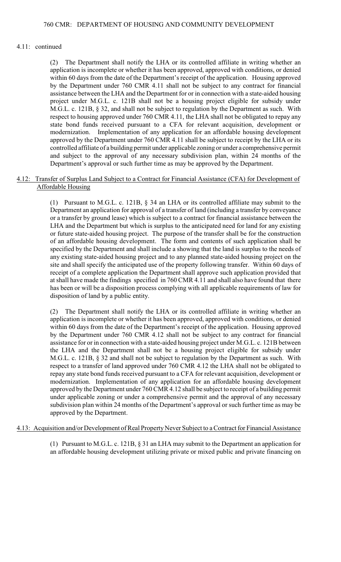## 4.11: continued

 approved by the Department under 760 CMR 4.11 shall be subject to receipt by the LHA or its and subject to the approval of any necessary subdivision plan, within 24 months of the (2) The Department shall notify the LHA or its controlled affiliate in writing whether an application is incomplete or whether it has been approved, approved with conditions, or denied within 60 days from the date of the Department's receipt of the application. Housing approved by the Department under 760 CMR 4.11 shall not be subject to any contract for financial assistance between the LHA and the Department for or in connection with a state-aided housing project under M.G.L. c. 121B shall not be a housing project eligible for subsidy under M.G.L. c. 121B, § 32, and shall not be subject to regulation by the Department as such. With respect to housing approved under 760 CMR 4.11, the LHA shall not be obligated to repay any state bond funds received pursuant to a CFA for relevant acquisition, development or modernization. Implementation of any application for an affordable housing development controlled affiliate of a building permit under applicable zoning or under a comprehensive permit Department's approval or such further time as may be approved by the Department.

# 4.12: Transfer of Surplus Land Subject to a Contract for Financial Assistance (CFA) for Development of Affordable Housing

 (1) Pursuant to M.G.L. c. 121B, § 34 an LHA or its controlled affiliate may submit to the specified by the Department and shall include a showing that the land is surplus to the needs of site and shall specify the anticipated use of the property following transfer. Within 60 days of Department an application for approval of a transfer of land (including a transfer by conveyance or a transfer by ground lease) which is subject to a contract for financial assistance between the LHA and the Department but which is surplus to the anticipated need for land for any existing or future state-aided housing project. The purpose of the transfer shall be for the construction of an affordable housing development. The form and contents of such application shall be any existing state-aided housing project and to any planned state-aided housing project on the receipt of a complete application the Department shall approve such application provided that at shall have made the findings specified in 760 CMR 4.11 and shall also have found that there has been or will be a disposition process complying with all applicable requirements of law for disposition of land by a public entity.

 respect to a transfer of land approved under 760 CMR 4.12 the LHA shall not be obligated to approved by the Department under 760 CMR 4.12 shall be subject to receipt of a building permit (2) The Department shall notify the LHA or its controlled affiliate in writing whether an application is incomplete or whether it has been approved, approved with conditions, or denied within 60 days from the date of the Department's receipt of the application. Housing approved by the Department under 760 CMR 4.12 shall not be subject to any contract for financial assistance for or in connection with a state-aided housing project under M.G.L. c. 121B between the LHA and the Department shall not be a housing project eligible for subsidy under M.G.L. c. 121B, § 32 and shall not be subject to regulation by the Department as such. With repay any state bond funds received pursuant to a CFA for relevant acquisition, development or modernization. Implementation of any application for an affordable housing development under applicable zoning or under a comprehensive permit and the approval of any necessary subdivision plan within 24 months of the Department's approval or such further time as may be approved by the Department.

# 4.13: Acquisition and/or Development of Real Property Never Subject to a Contract for Financial Assistance

(1) Pursuant to M.G.L. c. 121B, § 31 an LHA may submit to the Department an application for an affordable housing development utilizing private or mixed public and private financing on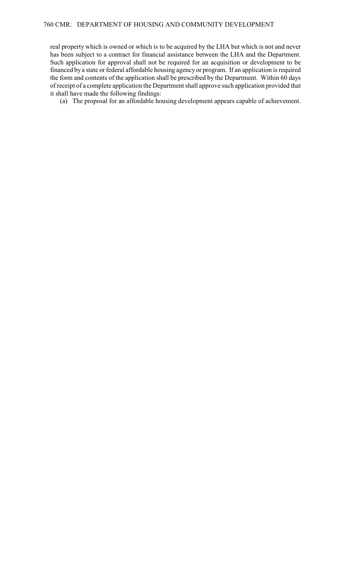real property which is owned or which is to be acquired by the LHA but which is not and never has been subject to a contract for financial assistance between the LHA and the Department. Such application for approval shall not be required for an acquisition or development to be financed by a state or federal affordable housing agency or program. If an application is required the form and contents of the application shall be prescribed by the Department. Within 60 days of receipt of a complete application the Department shall approve such application provided that it shall have made the following findings:

(a) The proposal for an affordable housing development appears capable of achievement.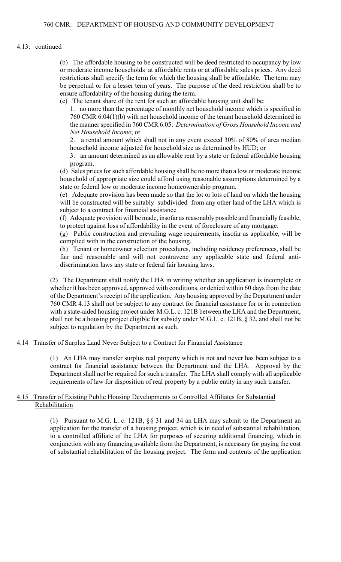### 4.13: continued

 be perpetual or for a lesser term of years. The purpose of the deed restriction shall be to (b) The affordable housing to be constructed will be deed restricted to occupancy by low or moderate income households at affordable rents or at affordable sales prices. Any deed restrictions shall specify the term for which the housing shall be affordable. The term may ensure affordability of the housing during the term.

(c) The tenant share of the rent for such an affordable housing unit shall be:

 1. no more than the percentage of monthly net household income which is specified in 760 CMR 6.04(1)(b) with net household income of the tenant household determined in the manner specified in 760 CMR 6.05: *Determination of Gross Household Income and Net Household Income*; or

 2. a rental amount which shall not in any event exceed 30% of 80% of area median household income adjusted for household size as determined by HUD; or

3. an amount determined as an allowable rent by a state or federal affordable housing program.

 (d) Sales prices for such affordable housing shall be no more than a low or moderate income household of appropriate size could afford using reasonable assumptions determined by a state or federal low or moderate income homeownership program.

 will be constructed will be suitably subdivided from any other land of the LHA which is (e) Adequate provision has been made so that the lot or lots of land on which the housing subject to a contract for financial assistance.

 (f) Adequate provision will be made, insofar as reasonably possible and financially feasible, to protect against loss of affordability in the event of foreclosure of any mortgage.

 (g) Public construction and prevailing wage requirements, insofar as applicable, will be complied with in the construction of the housing.

 (h) Tenant or homeowner selection procedures, including residency preferences, shall be fair and reasonable and will not contravene any applicable state and federal antidiscrimination laws any state or federal fair housing laws.

 whether it has been approved, approved with conditions, or denied within 60 days from the date (2) The Department shall notify the LHA in writing whether an application is incomplete or of the Department's receipt of the application. Any housing approved by the Department under 760 CMR 4.13 shall not be subject to any contract for financial assistance for or in connection with a state-aided housing project under M.G.L. c. 121B between the LHA and the Department, shall not be a housing project eligible for subsidy under M.G.L. c. 121B, § 32, and shall not be subject to regulation by the Department as such.

# 4.14 Transfer of Surplus Land Never Subject to a Contract for Financial Assistance

 Department shall not be required for such a transfer. The LHA shall comply with all applicable (1) An LHA may transfer surplus real property which is not and never has been subject to a contract for financial assistance between the Department and the LHA. Approval by the requirements of law for disposition of real property by a public entity in any such transfer.

# 4.15 Transfer of Existing Public Housing Developments to Controlled Affiliates for Substantial Rehabilitation

 (1) Pursuant to M.G. L. c. 121B, §§ 31 and 34 an LHA may submit to the Department an conjunction with any financing available from the Department, is necessary for paying the cost application for the transfer of a housing project, which is in need of substantial rehabilitation, to a controlled affiliate of the LHA for purposes of securing additional financing, which in of substantial rehabilitation of the housing project. The form and contents of the application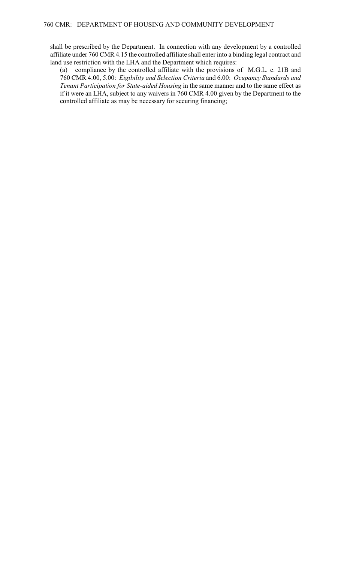shall be prescribed by the Department. In connection with any development by a controlled affiliate under 760 CMR 4.15 the controlled affiliate shall enter into a binding legal contract and land use restriction with the LHA and the Department which requires:

(a) compliance by the controlled affiliate with the provisions of M.G.L. c. 21B and 760 CMR 4.00, 5.00: *Eigibility and Selection Criteria* and 6.00: *Ocupancy Standards and Tenant Participation for State-aided Housing* in the same manner and to the same effect as if it were an LHA, subject to any waivers in 760 CMR 4.00 given by the Department to the controlled affiliate as may be necessary for securing financing;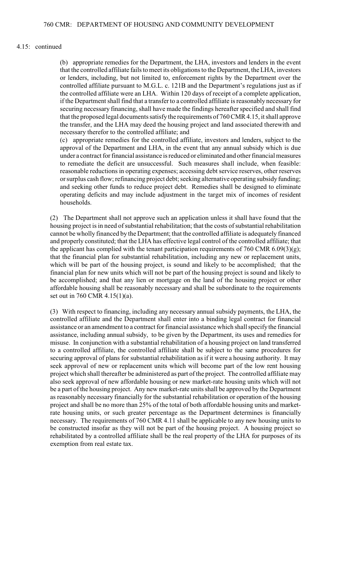#### 4.15: continued

(b) appropriate remedies for the Department, the LHA, investors and lenders in the event that the controlled affiliate fails to meet its obligations to the Department, the LHA, investors or lenders, including, but not limited to, enforcement rights by the Department over the controlled affiliate pursuant to M.G.L. c. 121B and the Department's regulations just as if the controlled affiliate were an LHA. Within 120 days of receipt of a complete application, if the Department shall find that a transfer to a controlled affiliate is reasonably necessary for securing necessary financing, shall have made the findings hereafter specified and shall find that the proposed legal documents satisfy the requirements of 760 CMR 4.15, it shall approve the transfer, and the LHA may deed the housing project and land associated therewith and necessary therefor to the controlled affiliate; and

 approval of the Department and LHA, in the event that any annual subsidy which is due or surplus cash flow; refinancing project debt; seeking alternative operating subsidy funding; (c) appropriate remedies for the controlled affiliate, investors and lenders, subject to the under a contract for financial assistance is reduced or eliminated and other financial measures to remediate the deficit are unsuccessful. Such measures shall include, when feasible: reasonable reductions in operating expenses; accessing debt service reserves, other reserves and seeking other funds to reduce project debt. Remedies shall be designed to eliminate operating deficits and may include adjustment in the target mix of incomes of resident households.

 financial plan for new units which will not be part of the housing project is sound and likely to be accomplished; and that any lien or mortgage on the land of the housing project or other (2) The Department shall not approve such an application unless it shall have found that the housing project is in need of substantial rehabilitation; that the costs of substantial rehabilitation cannot be wholly financed by the Department; that the controlled affiliate is adequately financed and properly constituted; that the LHA has effective legal control of the controlled affiliate; that the applicant has complied with the tenant participation requirements of 760 CMR  $6.09(3)(g)$ ; that the financial plan for substantial rehabilitation, including any new or replacement units, which will be part of the housing project, is sound and likely to be accomplished; that the affordable housing shall be reasonably necessary and shall be subordinate to the requirements set out in 760 CMR 4.15(1)(a).

 (3) With respect to financing, including any necessary annual subsidy payments, the LHA, the project and shall be no more than 25% of the total of both affordable housing units and market- be constructed insofar as they will not be part of the housing project. A housing project so controlled affiliate and the Department shall enter into a binding legal contract for financial assistance or an amendment to a contract for financial assistance which shall specify the financial assistance, including annual subsidy, to be given by the Department, its uses and remedies for misuse. In conjunction with a substantial rehabilitation of a housing project on land transferred to a controlled affiliate, the controlled affiliate shall be subject to the same procedures for securing approval of plans for substantial rehabilitation as if it were a housing authority. It may seek approval of new or replacement units which will become part of the low rent housing project which shall thereafter be administered as part of the project. The controlled affiliate may also seek approval of new affordable housing or new market-rate housing units which will not be a part of the housing project. Any new market-rate units shall be approved by the Department as reasonably necessary financially for the substantial rehabilitation or operation of the housing rate housing units, or such greater percentage as the Department determines is financially necessary. The requirements of 760 CMR 4.11 shall be applicable to any new housing units to rehabilitated by a controlled affiliate shall be the real property of the LHA for purposes of its exemption from real estate tax.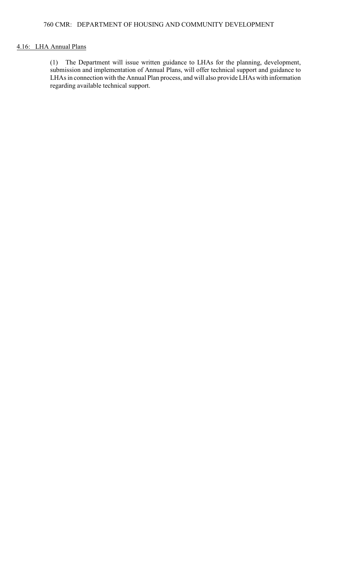# 4.16: LHA Annual Plans

(1) The Department will issue written guidance to LHAs for the planning, development, submission and implementation of Annual Plans, will offer technical support and guidance to LHAs in connection with the Annual Plan process, and will also provide LHAs with information regarding available technical support.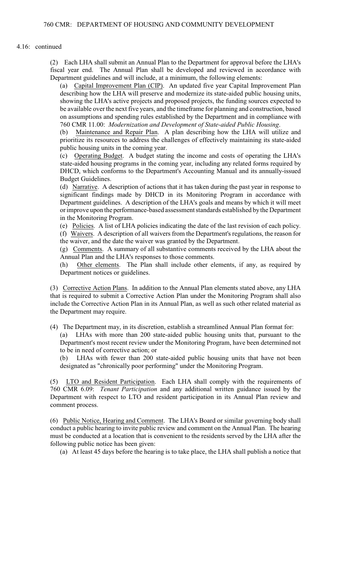#### 4.16: continued

 (2) Each LHA shall submit an Annual Plan to the Department for approval before the LHA's fiscal year end. The Annual Plan shall be developed and reviewed in accordance with Department guidelines and will include, at a minimum, the following elements:

 be available over the next five years, and the timeframe for planning and construction, based (a) Capital Improvement Plan (CIP). An updated five year Capital Improvement Plan describing how the LHA will preserve and modernize its state-aided public housing units, showing the LHA's active projects and proposed projects, the funding sources expected to on assumptions and spending rules established by the Department and in compliance with 760 CMR 11.00: *Modernization and Development of State-aided Public Housing*.

(b) Maintenance and Repair Plan. A plan describing how the LHA will utilize and prioritize its resources to address the challenges of effectively maintaining its state-aided public housing units in the coming year.

 (c) Operating Budget. A budget stating the income and costs of operating the LHA's state-aided housing programs in the coming year, including any related forms required by DHCD, which conforms to the Department's Accounting Manual and its annually-issued Budget Guidelines.

 (d) Narrative. A description of actions that it has taken during the past year in response to significant findings made by DHCD in its Monitoring Program in accordance with Department guidelines. A description of the LHA's goals and means by which it will meet or improve upon the performance-based assessment standards established by the Department in the Monitoring Program.

 (e) Policies. A list of LHA policies indicating the date of the last revision of each policy. (f) Waivers. A description of all waivers from the Department's regulations, the reason for the waiver, and the date the waiver was granted by the Department.

(g) Comments. A summary of all substantive comments received by the LHA about the Annual Plan and the LHA's responses to those comments.

(h) Other elements. The Plan shall include other elements, if any, as required by Department notices or guidelines.

(3) Corrective Action Plans. In addition to the Annual Plan elements stated above, any LHA that is required to submit a Corrective Action Plan under the Monitoring Program shall also include the Corrective Action Plan in its Annual Plan, as well as such other related material as the Department may require.

(4) The Department may, in its discretion, establish a streamlined Annual Plan format for:

(a) LHAs with more than 200 state-aided public housing units that, pursuant to the Department's most recent review under the Monitoring Program, have been determined not to be in need of corrective action; or

 (b) LHAs with fewer than 200 state-aided public housing units that have not been designated as "chronically poor performing" under the Monitoring Program.

LTO and Resident Participation. Each LHA shall comply with the requirements of 760 CMR 6.09: *Tenant Participation* and any additional written guidance issued by the Department with respect to LTO and resident participation in its Annual Plan review and comment process.

 (6) Public Notice, Hearing and Comment. The LHA's Board or similar governing body shall conduct a public hearing to invite public review and comment on the Annual Plan. The hearing must be conducted at a location that is convenient to the residents served by the LHA after the following public notice has been given:

(a) At least 45 days before the hearing is to take place, the LHA shall publish a notice that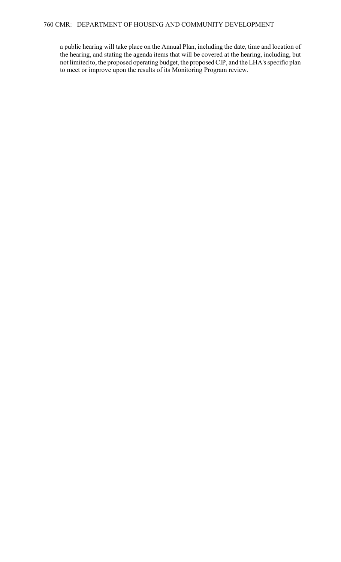a public hearing will take place on the Annual Plan, including the date, time and location of the hearing, and stating the agenda items that will be covered at the hearing, including, but not limited to, the proposed operating budget, the proposed CIP, and the LHA's specific plan to meet or improve upon the results of its Monitoring Program review.